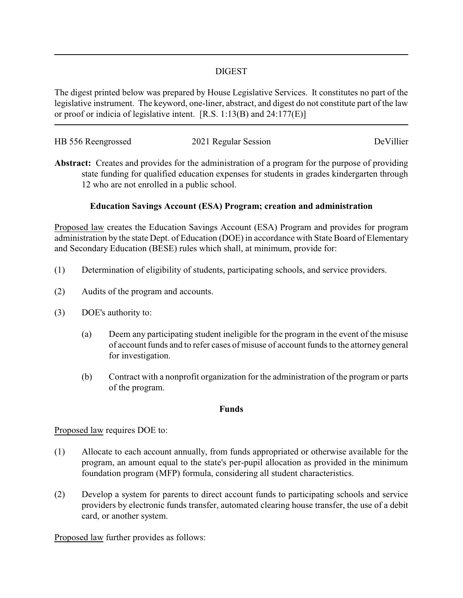### DIGEST

The digest printed below was prepared by House Legislative Services. It constitutes no part of the legislative instrument. The keyword, one-liner, abstract, and digest do not constitute part of the law or proof or indicia of legislative intent. [R.S. 1:13(B) and 24:177(E)]

| HB 556 Reengrossed | 2021 Regular Session | DeVillier |
|--------------------|----------------------|-----------|
|                    |                      |           |

**Abstract:** Creates and provides for the administration of a program for the purpose of providing state funding for qualified education expenses for students in grades kindergarten through 12 who are not enrolled in a public school.

### **Education Savings Account (ESA) Program; creation and administration**

Proposed law creates the Education Savings Account (ESA) Program and provides for program administration by the state Dept. of Education (DOE) in accordance with State Board of Elementary and Secondary Education (BESE) rules which shall, at minimum, provide for:

- (1) Determination of eligibility of students, participating schools, and service providers.
- (2) Audits of the program and accounts.
- (3) DOE's authority to:
	- (a) Deem any participating student ineligible for the program in the event of the misuse of account funds and to refer cases of misuse of account funds to the attorney general for investigation.
	- (b) Contract with a nonprofit organization for the administration of the program or parts of the program.

#### **Funds**

#### Proposed law requires DOE to:

- (1) Allocate to each account annually, from funds appropriated or otherwise available for the program, an amount equal to the state's per-pupil allocation as provided in the minimum foundation program (MFP) formula, considering all student characteristics.
- (2) Develop a system for parents to direct account funds to participating schools and service providers by electronic funds transfer, automated clearing house transfer, the use of a debit card, or another system.

Proposed law further provides as follows: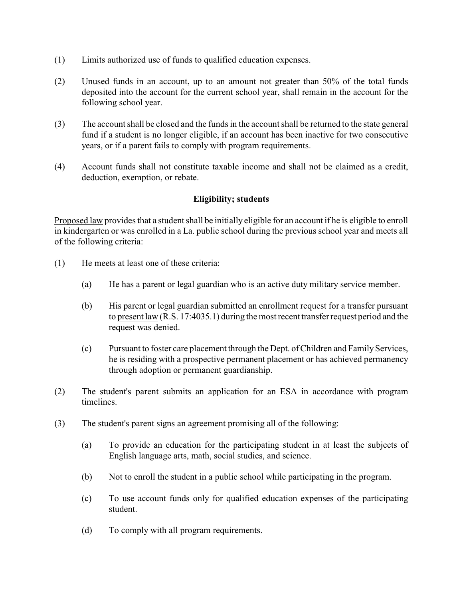- (1) Limits authorized use of funds to qualified education expenses.
- (2) Unused funds in an account, up to an amount not greater than 50% of the total funds deposited into the account for the current school year, shall remain in the account for the following school year.
- (3) The account shall be closed and the funds in the account shall be returned to the state general fund if a student is no longer eligible, if an account has been inactive for two consecutive years, or if a parent fails to comply with program requirements.
- (4) Account funds shall not constitute taxable income and shall not be claimed as a credit, deduction, exemption, or rebate.

#### **Eligibility; students**

Proposed law provides that a student shall be initially eligible for an account if he is eligible to enroll in kindergarten or was enrolled in a La. public school during the previous school year and meets all of the following criteria:

- (1) He meets at least one of these criteria:
	- (a) He has a parent or legal guardian who is an active duty military service member.
	- (b) His parent or legal guardian submitted an enrollment request for a transfer pursuant to present law (R.S. 17:4035.1) during the most recent transfer request period and the request was denied.
	- (c) Pursuant to foster care placement through the Dept. of Children and Family Services, he is residing with a prospective permanent placement or has achieved permanency through adoption or permanent guardianship.
- (2) The student's parent submits an application for an ESA in accordance with program timelines.
- (3) The student's parent signs an agreement promising all of the following:
	- (a) To provide an education for the participating student in at least the subjects of English language arts, math, social studies, and science.
	- (b) Not to enroll the student in a public school while participating in the program.
	- (c) To use account funds only for qualified education expenses of the participating student.
	- (d) To comply with all program requirements.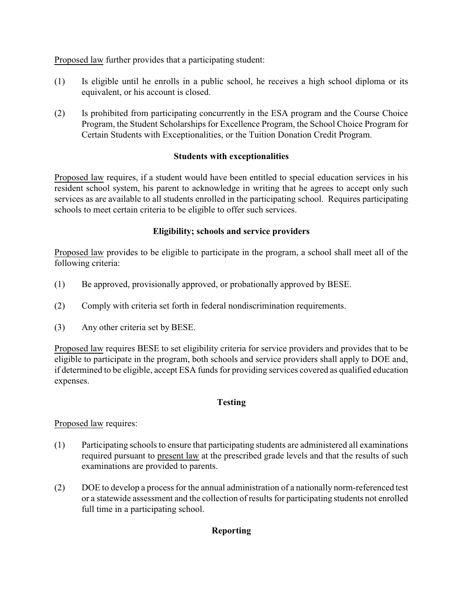Proposed law further provides that a participating student:

- (1) Is eligible until he enrolls in a public school, he receives a high school diploma or its equivalent, or his account is closed.
- (2) Is prohibited from participating concurrently in the ESA program and the Course Choice Program, the Student Scholarships for Excellence Program, the School Choice Program for Certain Students with Exceptionalities, or the Tuition Donation Credit Program.

## **Students with exceptionalities**

Proposed law requires, if a student would have been entitled to special education services in his resident school system, his parent to acknowledge in writing that he agrees to accept only such services as are available to all students enrolled in the participating school. Requires participating schools to meet certain criteria to be eligible to offer such services.

## **Eligibility; schools and service providers**

Proposed law provides to be eligible to participate in the program, a school shall meet all of the following criteria:

- (1) Be approved, provisionally approved, or probationally approved by BESE.
- (2) Comply with criteria set forth in federal nondiscrimination requirements.
- (3) Any other criteria set by BESE.

Proposed law requires BESE to set eligibility criteria for service providers and provides that to be eligible to participate in the program, both schools and service providers shall apply to DOE and, if determined to be eligible, accept ESA funds for providing services covered as qualified education expenses.

# **Testing**

Proposed law requires:

- (1) Participating schools to ensure that participating students are administered all examinations required pursuant to present law at the prescribed grade levels and that the results of such examinations are provided to parents.
- (2) DOE to develop a process for the annual administration of a nationally norm-referenced test or a statewide assessment and the collection of results for participating students not enrolled full time in a participating school.

# **Reporting**